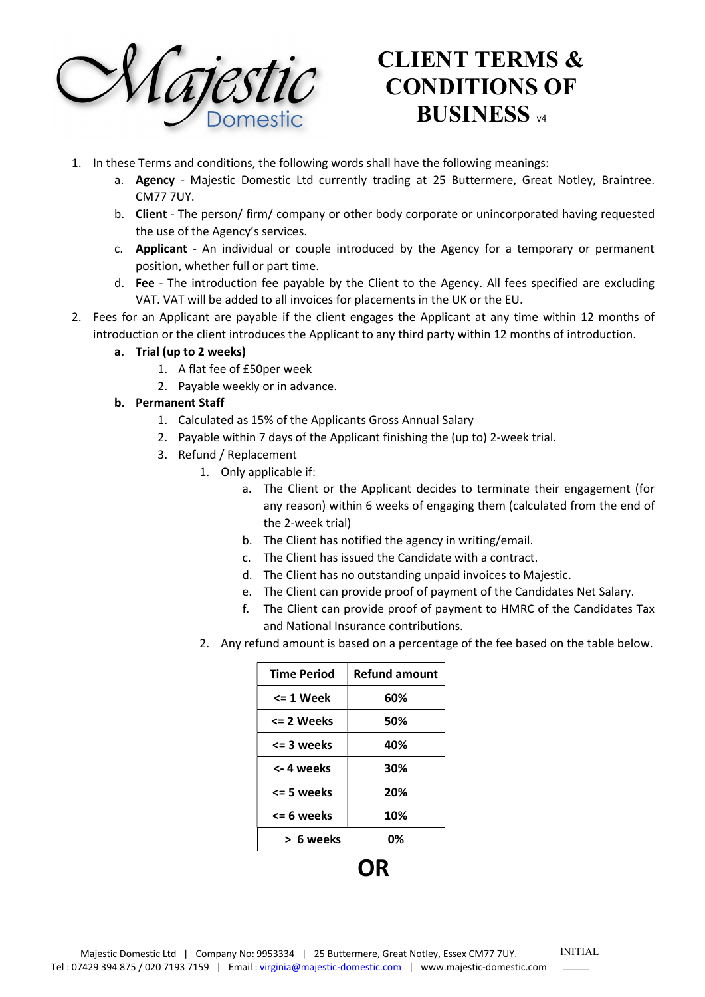

# CLIENT TERMS & CONDITIONS OF **BUSINESS** v4

- 1. In these Terms and conditions, the following words shall have the following meanings:
	- a. Agency Majestic Domestic Ltd currently trading at 25 Buttermere, Great Notley, Braintree. CM77 7UY.
	- b. Client The person/ firm/ company or other body corporate or unincorporated having requested the use of the Agency's services.
	- c. Applicant An individual or couple introduced by the Agency for a temporary or permanent position, whether full or part time.
	- d. Fee The introduction fee payable by the Client to the Agency. All fees specified are excluding VAT. VAT will be added to all invoices for placements in the UK or the EU.
- 2. Fees for an Applicant are payable if the client engages the Applicant at any time within 12 months of introduction or the client introduces the Applicant to any third party within 12 months of introduction.
	- a. Trial (up to 2 weeks)
		- 1. A flat fee of £50per week
		- 2. Payable weekly or in advance.

#### b. Permanent Staff

- 1. Calculated as 15% of the Applicants Gross Annual Salary
- 2. Payable within 7 days of the Applicant finishing the (up to) 2-week trial.
- 3. Refund / Replacement
	- 1. Only applicable if:
		- a. The Client or the Applicant decides to terminate their engagement (for any reason) within 6 weeks of engaging them (calculated from the end of the 2-week trial)
		- b. The Client has notified the agency in writing/email.
		- c. The Client has issued the Candidate with a contract.
		- d. The Client has no outstanding unpaid invoices to Majestic.
		- e. The Client can provide proof of payment of the Candidates Net Salary.
		- f. The Client can provide proof of payment to HMRC of the Candidates Tax and National Insurance contributions.
	- 2. Any refund amount is based on a percentage of the fee based on the table below.

| <b>Time Period</b> | <b>Refund amount</b> |
|--------------------|----------------------|
| <= 1 Week          | 60%                  |
| <= 2 Weeks         | 50%                  |
| <= 3 weeks         | 40%                  |
| <- 4 weeks         | 30%                  |
| <= 5 weeks         | 20%                  |
| <= 6 weeks         | 10%                  |
| > 6 weeks          | 0%                   |
|                    |                      |

INITIAL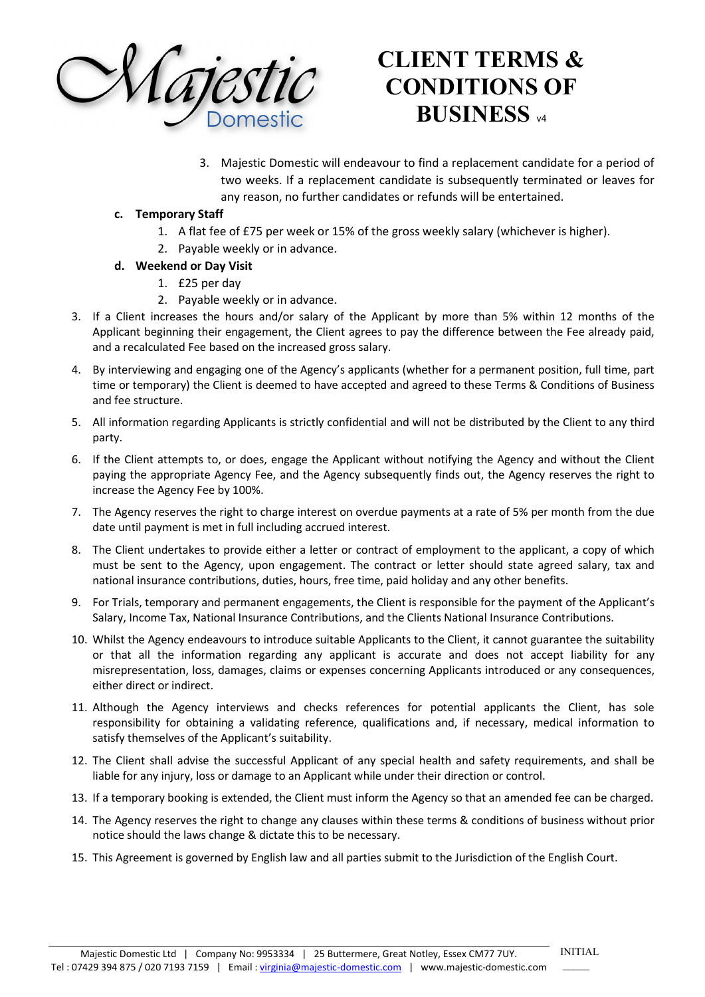

## CLIENT TERMS & CONDITIONS OF **BUSINESS**

3. Majestic Domestic will endeavour to find a replacement candidate for a period of two weeks. If a replacement candidate is subsequently terminated or leaves for any reason, no further candidates or refunds will be entertained.

#### c. Temporary Staff

- 1. A flat fee of £75 per week or 15% of the gross weekly salary (whichever is higher).
- 2. Payable weekly or in advance.
- d. Weekend or Day Visit
	- 1. £25 per day
	- 2. Payable weekly or in advance.
- 3. If a Client increases the hours and/or salary of the Applicant by more than 5% within 12 months of the Applicant beginning their engagement, the Client agrees to pay the difference between the Fee already paid, and a recalculated Fee based on the increased gross salary.
- 4. By interviewing and engaging one of the Agency's applicants (whether for a permanent position, full time, part time or temporary) the Client is deemed to have accepted and agreed to these Terms & Conditions of Business and fee structure.
- 5. All information regarding Applicants is strictly confidential and will not be distributed by the Client to any third party.
- 6. If the Client attempts to, or does, engage the Applicant without notifying the Agency and without the Client paying the appropriate Agency Fee, and the Agency subsequently finds out, the Agency reserves the right to increase the Agency Fee by 100%.
- 7. The Agency reserves the right to charge interest on overdue payments at a rate of 5% per month from the due date until payment is met in full including accrued interest.
- 8. The Client undertakes to provide either a letter or contract of employment to the applicant, a copy of which must be sent to the Agency, upon engagement. The contract or letter should state agreed salary, tax and national insurance contributions, duties, hours, free time, paid holiday and any other benefits.
- 9. For Trials, temporary and permanent engagements, the Client is responsible for the payment of the Applicant's Salary, Income Tax, National Insurance Contributions, and the Clients National Insurance Contributions.
- 10. Whilst the Agency endeavours to introduce suitable Applicants to the Client, it cannot guarantee the suitability or that all the information regarding any applicant is accurate and does not accept liability for any misrepresentation, loss, damages, claims or expenses concerning Applicants introduced or any consequences, either direct or indirect.
- 11. Although the Agency interviews and checks references for potential applicants the Client, has sole responsibility for obtaining a validating reference, qualifications and, if necessary, medical information to satisfy themselves of the Applicant's suitability.
- 12. The Client shall advise the successful Applicant of any special health and safety requirements, and shall be liable for any injury, loss or damage to an Applicant while under their direction or control.
- 13. If a temporary booking is extended, the Client must inform the Agency so that an amended fee can be charged.
- 14. The Agency reserves the right to change any clauses within these terms & conditions of business without prior notice should the laws change & dictate this to be necessary.
- 15. This Agreement is governed by English law and all parties submit to the Jurisdiction of the English Court.

INITIAL